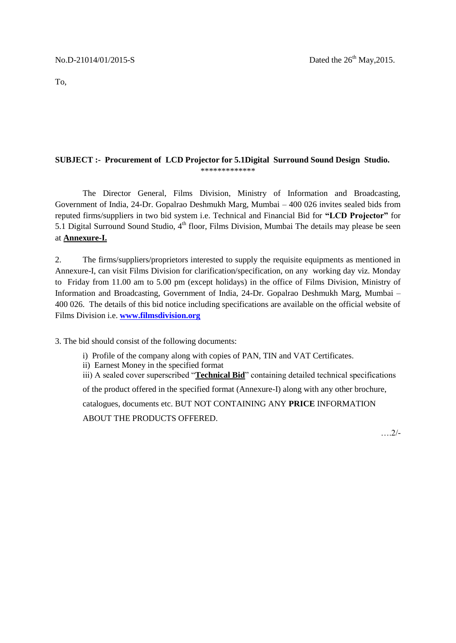To,

#### **SUBJECT :- Procurement of LCD Projector for 5.1Digital Surround Sound Design Studio.**

\*\*\*\*\*\*\*\*\*\*\*\*\*

The Director General, Films Division, Ministry of Information and Broadcasting, Government of India, 24-Dr. Gopalrao Deshmukh Marg, Mumbai – 400 026 invites sealed bids from reputed firms/suppliers in two bid system i.e. Technical and Financial Bid for **"LCD Projector"** for 5.1 Digital Surround Sound Studio,  $4<sup>th</sup>$  floor, Films Division, Mumbai The details may please be seen at **Annexure-I.**

2. The firms/suppliers/proprietors interested to supply the requisite equipments as mentioned in Annexure-I, can visit Films Division for clarification/specification, on any working day viz. Monday to Friday from 11.00 am to 5.00 pm (except holidays) in the office of Films Division, Ministry of Information and Broadcasting, Government of India, 24-Dr. Gopalrao Deshmukh Marg, Mumbai – 400 026. The details of this bid notice including specifications are available on the official website of Films Division i.e. **[www.filmsdivision.org](http://www.filmsdivision.org/)**

3. The bid should consist of the following documents:

- i) Profile of the company along with copies of PAN, TIN and VAT Certificates.
- ii) Earnest Money in the specified format
- iii) A sealed cover superscribed "**Technical Bid**" containing detailed technical specifications

of the product offered in the specified format (Annexure-I) along with any other brochure,

catalogues, documents etc. BUT NOT CONTAINING ANY **PRICE** INFORMATION

ABOUT THE PRODUCTS OFFERED.

….2/-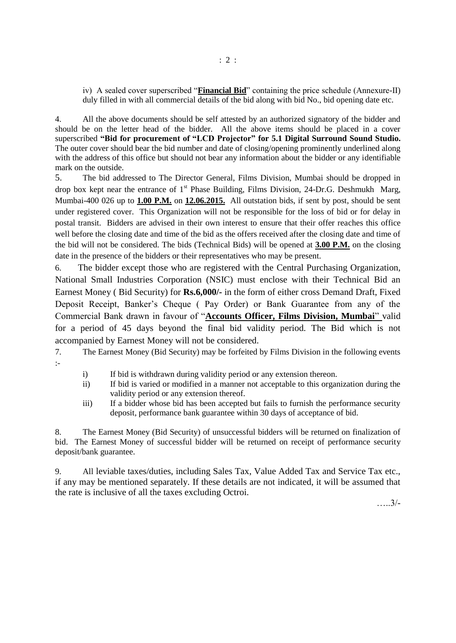iv) A sealed cover superscribed "**Financial Bid**" containing the price schedule (Annexure-II) duly filled in with all commercial details of the bid along with bid No., bid opening date etc.

4. All the above documents should be self attested by an authorized signatory of the bidder and should be on the letter head of the bidder. All the above items should be placed in a cover superscribed **"Bid for procurement of "LCD Projector" for 5.1 Digital Surround Sound Studio.** The outer cover should bear the bid number and date of closing/opening prominently underlined along with the address of this office but should not bear any information about the bidder or any identifiable mark on the outside.

5. The bid addressed to The Director General, Films Division, Mumbai should be dropped in drop box kept near the entrance of  $1<sup>st</sup>$  Phase Building, Films Division, 24-Dr.G. Deshmukh Marg, Mumbai-400 026 up to **1.00 P.M.** on **12.06.2015.** All outstation bids, if sent by post, should be sent under registered cover. This Organization will not be responsible for the loss of bid or for delay in postal transit. Bidders are advised in their own interest to ensure that their offer reaches this office well before the closing date and time of the bid as the offers received after the closing date and time of the bid will not be considered. The bids (Technical Bids) will be opened at **3.00 P.M.** on the closing date in the presence of the bidders or their representatives who may be present.

6. The bidder except those who are registered with the Central Purchasing Organization, National Small Industries Corporation (NSIC) must enclose with their Technical Bid an Earnest Money ( Bid Security) for **Rs.6,000/-** in the form of either cross Demand Draft, Fixed Deposit Receipt, Banker's Cheque ( Pay Order) or Bank Guarantee from any of the Commercial Bank drawn in favour of "**Accounts Officer, Films Division, Mumbai**" valid for a period of 45 days beyond the final bid validity period. The Bid which is not accompanied by Earnest Money will not be considered.

7. The Earnest Money (Bid Security) may be forfeited by Films Division in the following events :-

- i) If bid is withdrawn during validity period or any extension thereon.
- ii) If bid is varied or modified in a manner not acceptable to this organization during the validity period or any extension thereof.
- iii) If a bidder whose bid has been accepted but fails to furnish the performance security deposit, performance bank guarantee within 30 days of acceptance of bid.

8. The Earnest Money (Bid Security) of unsuccessful bidders will be returned on finalization of bid. The Earnest Money of successful bidder will be returned on receipt of performance security deposit/bank guarantee.

9. All leviable taxes/duties, including Sales Tax, Value Added Tax and Service Tax etc., if any may be mentioned separately. If these details are not indicated, it will be assumed that the rate is inclusive of all the taxes excluding Octroi.

…..3/-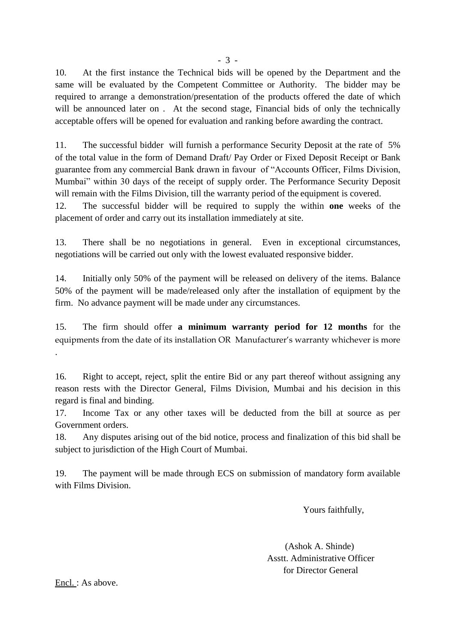10. At the first instance the Technical bids will be opened by the Department and the same will be evaluated by the Competent Committee or Authority. The bidder may be required to arrange a demonstration/presentation of the products offered the date of which will be announced later on. At the second stage, Financial bids of only the technically acceptable offers will be opened for evaluation and ranking before awarding the contract.

11. The successful bidder will furnish a performance Security Deposit at the rate of 5% of the total value in the form of Demand Draft/ Pay Order or Fixed Deposit Receipt or Bank guarantee from any commercial Bank drawn in favour of "Accounts Officer, Films Division, Mumbai" within 30 days of the receipt of supply order. The Performance Security Deposit will remain with the Films Division, till the warranty period of the equipment is covered.

12. The successful bidder will be required to supply the within **one** weeks of the placement of order and carry out its installation immediately at site.

13. There shall be no negotiations in general. Even in exceptional circumstances, negotiations will be carried out only with the lowest evaluated responsive bidder.

14. Initially only 50% of the payment will be released on delivery of the items. Balance 50% of the payment will be made/released only after the installation of equipment by the firm. No advance payment will be made under any circumstances.

15. The firm should offer **a minimum warranty period for 12 months** for the equipments from the date of its installation OR Manufacturer's warranty whichever is more .

16. Right to accept, reject, split the entire Bid or any part thereof without assigning any reason rests with the Director General, Films Division, Mumbai and his decision in this regard is final and binding.

17. Income Tax or any other taxes will be deducted from the bill at source as per Government orders.

18. Any disputes arising out of the bid notice, process and finalization of this bid shall be subject to jurisdiction of the High Court of Mumbai.

19. The payment will be made through ECS on submission of mandatory form available with Films Division.

Yours faithfully,

 (Ashok A. Shinde) Asstt. Administrative Officer for Director General

Encl. : As above.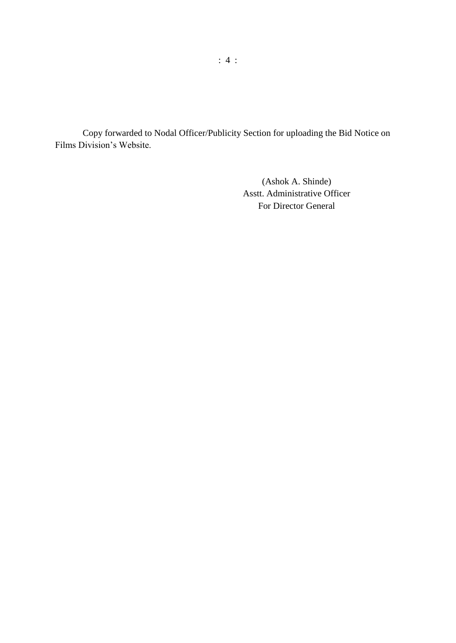Copy forwarded to Nodal Officer/Publicity Section for uploading the Bid Notice on Films Division's Website.

> (Ashok A. Shinde) Asstt. Administrative Officer For Director General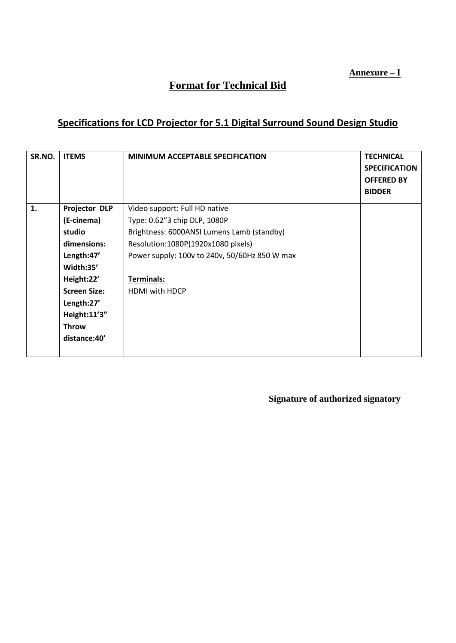**Annexure – I**

# **Format for Technical Bid**

## **Specifications for LCD Projector for 5.1 Digital Surround Sound Design Studio**

| SR.NO. | <b>ITEMS</b>         | <b>MINIMUM ACCEPTABLE SPECIFICATION</b>       | <b>TECHNICAL</b><br><b>SPECIFICATION</b><br><b>OFFERED BY</b><br><b>BIDDER</b> |
|--------|----------------------|-----------------------------------------------|--------------------------------------------------------------------------------|
| 1.     | <b>Projector DLP</b> | Video support: Full HD native                 |                                                                                |
|        | (E-cinema)           | Type: 0.62"3 chip DLP, 1080P                  |                                                                                |
|        | studio               | Brightness: 6000ANSI Lumens Lamb (standby)    |                                                                                |
|        | dimensions:          | Resolution:1080P(1920x1080 pixels)            |                                                                                |
|        | Length:47'           | Power supply: 100v to 240v, 50/60Hz 850 W max |                                                                                |
|        | Width:35'            |                                               |                                                                                |
|        | Height:22'           | Terminals:                                    |                                                                                |
|        | <b>Screen Size:</b>  | HDMI with HDCP                                |                                                                                |
|        | Length:27'           |                                               |                                                                                |
|        | Height:11'3"         |                                               |                                                                                |
|        | <b>Throw</b>         |                                               |                                                                                |
|        | distance: 40'        |                                               |                                                                                |
|        |                      |                                               |                                                                                |

**Signature of authorized signatory**